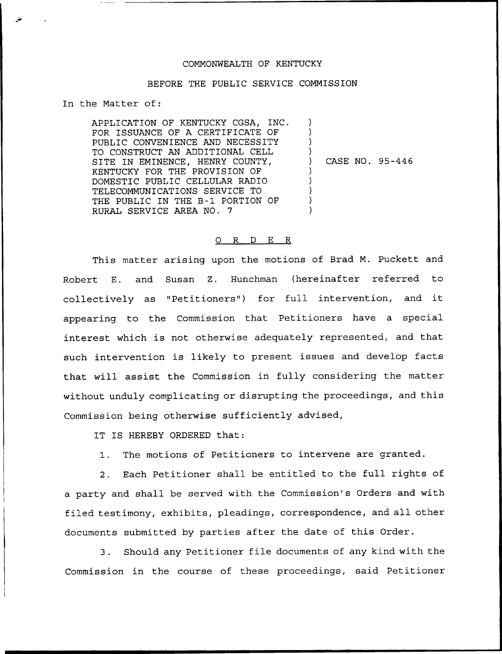## COMMONWEALTH OF KENTUCKY

## BEFORE THE PUBLIC SERVICE COMMISSION

In the Matter of:

APPLICATION OF KENTUCKY CGSA, INC. FOR ISSUANCE OF A CERTIFICATE OF PUBLIC CONVENIENCE AND NECESSITY TO CONSTRUCT AN ADDITIONAL CELL SITE IN EMINENCE, HENRY COUNTY, KENTUCKY FOR THE PROVISION OF DOMESTIC PUBLIC CELLULAR RADIO TELECOMMUNICATIONS SERVICE TO THE PUBLIC IN THE B-1 PORTION OF RURAL SERVICE AREA NO. 7 ) ) ) ) ) CASE NO. 95-446 ) ) ) ) )

## 0 R <sup>D</sup> E R

This matter arising upon the motions of Brad M. Puckett and Robert E. and Susan Z. Hunchman (hereinafter referred to collectively as "Petitioners") for full intervention, and it appearing to the Commission that Petitioners have a special interest which is not otherwise adequately represented, and that such intervention is likely to present issues and develop facts that will assist the Commission in fully considering the matter without unduly complicating or disrupting the proceedings, and this Commission being otherwise sufficiently advised,

IT IS HEREBY ORDERED that:

1. The motions of Petitioners to intervene are granted.

2. Each Petitioner shall be entitled to the full rights of a party and shall be served with the Commission's Orders and with filed testimony, exhibits, pleadings, correspondence, and all other documents submitted by parties after the date of this Order.

3. Should any Petitioner file documents of any kind with the Commission in the course of these proceedings, said Petitioner